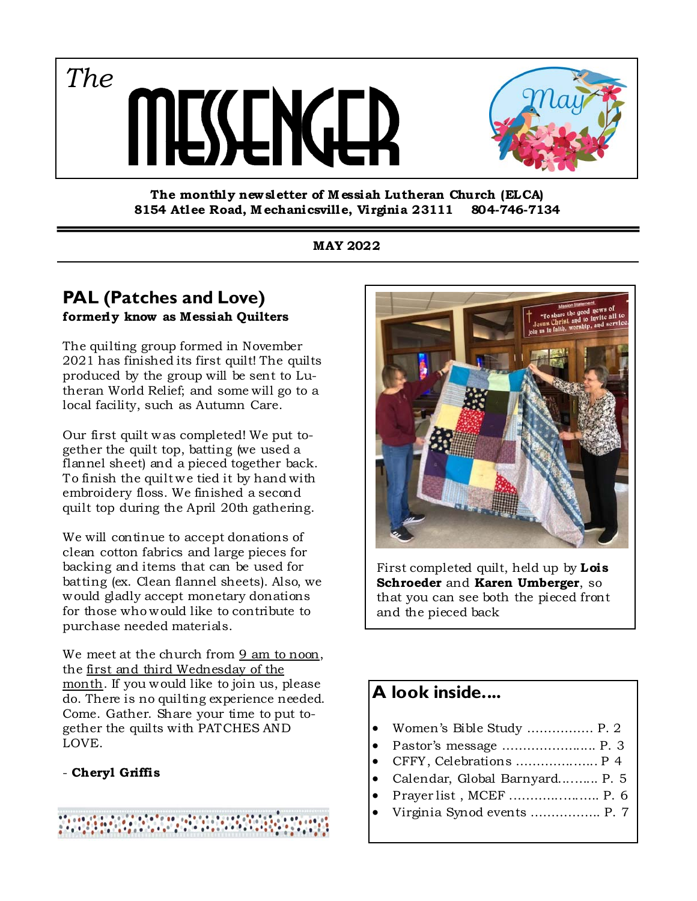*The* SSLNG.



**The monthly new sletter of M essiah Lutheran Church (ELCA) 8154 Atlee Road, M echanicsville, Virginia 23111 804-746-7134** 

### **MAY 2022**

### **PAL (Patches and Love) formerly know as Messiah Quilters**

The quilting group formed in November 2021 has finished its first quilt! The quilts produced by the group will be sent to Lutheran World Relief; and some will go to a local facility, such as Autumn Care.

Our first quilt was completed! We put together the quilt top, batting (we used a flannel sheet) and a pieced together back. To finish the quilt we tied it by hand with embroidery floss. We finished a second quilt top during the April 20th gathering.

We will continue to accept donations of clean cotton fabrics and large pieces for backing and items that can be used for batting (ex. Clean flannel sheets). Also, we would gladly accept monetary donations for those who would like to contribute to purchase needed materials.

We meet at the church from 9 am to noon, the first and third Wednesday of the month. If you would like to join us, please do. There is no quilting experience needed. Come. Gather. Share your time to put together the quilts with PATCHES AND LOVE.

### - **Cheryl Griffis**





First completed quilt, held up by **Lois Schroeder** and **Karen Umberger**, so that you can see both the pieced front and the pieced back

# **A look inside....**

- Women's Bible Study ……………. P. 2
- Pastor's message ………………..... P. 3
- CFFY, Celebrations …………..…... P 4
- Calendar, Global Barnyard....…... P. 5
- Prayer list , MCEF .………...….….. P. 6
- Virginia Synod events …………….. P. 7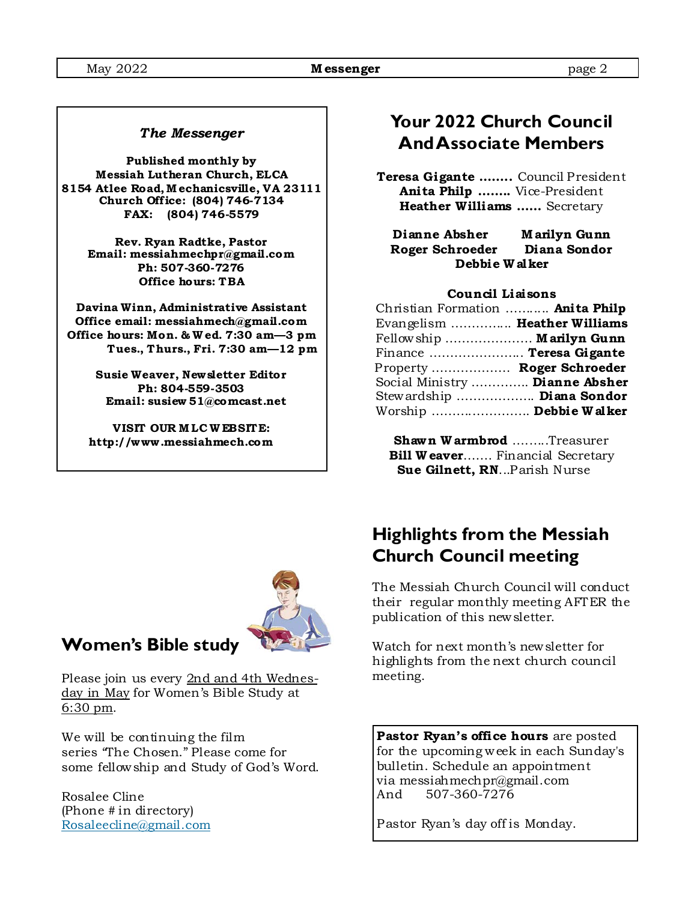#### *The Messenger*

**Published monthly by Messiah Lutheran Church, ELCA 8154 Atlee Road, M echanicsville, VA 23111 Church Off ice: (804) 746-7134 FAX: (804) 746-5579** 

> **Rev. Ryan Radtke, Pastor Email: messiahmechpr@gmail.com Ph: 507-360-7276 Office hours: TBA**

**Davina Winn, Administrative Assistant Office email: messiahmech@gmail.com Office hours: Mon. & W ed. 7:30 am—3 pm Tues., Thurs., Fri. 7:30 am—12 pm** 

> **Susie Weaver, Newsletter Editor Ph: 804-559-3503 Email: susiew 51@comcast.net**

**VISIT OUR M LC W EBSITE: http://www .messiahmech.com** 



**Teresa Gigante ……..** Council President **Anita Philp ……..** Vice-President **Heather Williams ……** Secretary

**Dianne Absher M arilyn Gunn Roger Schroeder Diana Sondor Debbie W alker** 

#### **Council Liaisons**

| Christian Formation  Anita Philp |
|----------------------------------|
| Evangelism  Heather Williams     |
| Fellowship  Marilyn Gunn         |
| Finance  Teresa Gigante          |
| Property  Roger Schroeder        |
| Social Ministry  Dianne Absher   |
| Stewardship  Diana Sondor        |
| Worship  Debbie Walker           |
|                                  |

**Shawn W armbrod** ….…..Treasurer **Bill W eaver.......** Financial Secretary  **Sue Gilnett, RN**...Parish Nurse



### **Women's Bible study**

Please join us every 2nd and 4th Wednesday in May for Women's Bible Study at 6:30 pm.

We will be continuing the film series "The Chosen." Please come for some fellowship and Study of God's Word.

Rosalee Cline (Phone # in directory) Rosaleecline@gmail.com

## **Highlights from the Messiah Church Council meeting**

The Messiah Church Council will conduct their regular monthly meeting AFTER the publication of this newsletter.

Watch for next month's newsletter for highlights from the next church council meeting.

**Pastor Ryan's office hours** are posted for the upcoming week in each Sunday's bulletin. Schedule an appointment via messiahmechpr@gmail.com And 507-360-7276

Pastor Ryan's day off is Monday.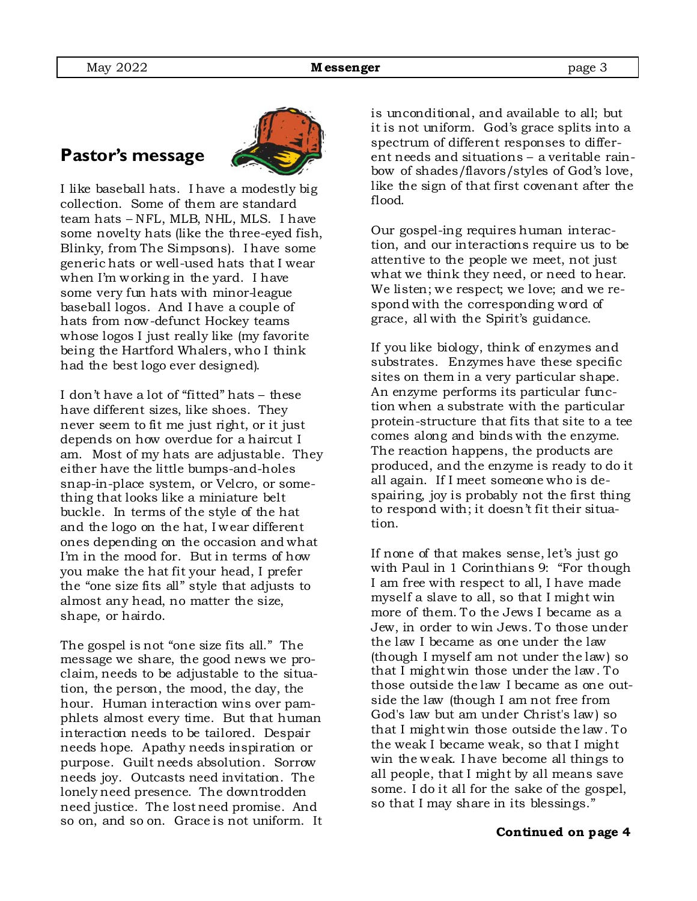# **Pastor's message**



I like baseball hats. I have a modestly big collection. Some of them are standard team hats – NFL, MLB, NHL, MLS. I have some novelty hats (like the three-eyed fish, Blinky, from The Simpsons). I have some generic hats or well-used hats that I wear when I'm working in the yard. I have some very fun hats with minor-league baseball logos. And I have a couple of hats from now-defunct Hockey teams whose logos I just really like (my favorite being the Hartford Whalers, who I think had the best logo ever designed).

I don't have a lot of "fitted" hats – these have different sizes, like shoes. They never seem to fit me just right, or it just depends on how overdue for a haircut I am. Most of my hats are adjustable. They either have the little bumps-and-holes snap-in-place system, or Velcro, or something that looks like a miniature belt buckle. In terms of the style of the hat and the logo on the hat, I wear different ones depending on the occasion and what I'm in the mood for. But in terms of how you make the hat fit your head, I prefer the "one size fits all" style that adjusts to almost any head, no matter the size, shape, or hairdo.

The gospel is not "one size fits all." The message we share, the good news we proclaim, needs to be adjustable to the situation, the person, the mood, the day, the hour. Human interaction wins over pamphlets almost every time. But that human interaction needs to be tailored. Despair needs hope. Apathy needs inspiration or purpose. Guilt needs absolution. Sorrow needs joy. Outcasts need invitation. The lonely need presence. The downtrodden need justice. The lost need promise. And so on, and so on. Grace is not uniform. It is unconditional, and available to all; but it is not uniform. God's grace splits into a spectrum of different responses to different needs and situations – a veritable rainbow of shades/flavors/styles of God's love, like the sign of that first covenant after the flood.

Our gospel-ing requires human interaction, and our interactions require us to be attentive to the people we meet, not just what we think they need, or need to hear. We listen; we respect; we love; and we respond with the corresponding word of grace, all with the Spirit's guidance.

If you like biology, think of enzymes and substrates. Enzymes have these specific sites on them in a very particular shape. An enzyme performs its particular function when a substrate with the particular protein-structure that fits that site to a tee comes along and binds with the enzyme. The reaction happens, the products are produced, and the enzyme is ready to do it all again. If I meet someone who is despairing, joy is probably not the first thing to respond with; it doesn't fit their situation.

If none of that makes sense, let's just go with Paul in 1 Corinthians 9: "For though I am free with respect to all, I have made myself a slave to all, so that I might win more of them. To the Jews I became as a Jew, in order to win Jews. To those under the law I became as one under the law (though I myself am not under the law) so that I might win those under the law. To those outside the law I became as one outside the law (though I am not free from God's law but am under Christ's law) so that I might win those outside the law. To the weak I became weak, so that I might win the weak. I have become all things to all people, that I might by all means save some. I do it all for the sake of the gospel, so that I may share in its blessings."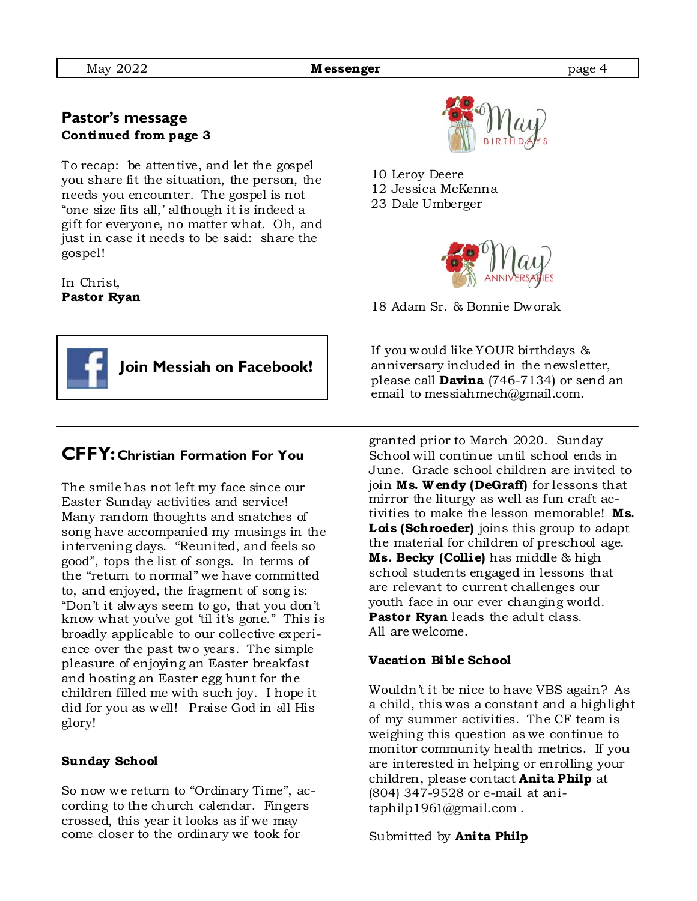### **Pastor's message Continued from page 3**

To recap: be attentive, and let the gospel you share fit the situation, the person, the needs you encounter. The gospel is not "one size fits all,' although it is indeed a gift for everyone, no matter what. Oh, and just in case it needs to be said: share the gospel!

In Christ, **Pastor Ryan** 



### **CFFY: Christian Formation For You**

The smile has not left my face since our Easter Sunday activities and service! Many random thoughts and snatches of song have accompanied my musings in the intervening days. "Reunited, and feels so good", tops the list of songs. In terms of the "return to normal" we have committed to, and enjoyed, the fragment of song is: "Don't it always seem to go, that you don't know what you've got 'til it's gone." This is broadly applicable to our collective experience over the past two years. The simple pleasure of enjoying an Easter breakfast and hosting an Easter egg hunt for the children filled me with such joy. I hope it did for you as well! Praise God in all His glory!

#### **Sunday School**

So now we return to "Ordinary Time", according to the church calendar. Fingers crossed, this year it looks as if we may come closer to the ordinary we took for



10 Leroy Deere 12 Jessica McKenna 23 Dale Umberger



18 Adam Sr. & Bonnie Dworak

If you would like YOUR birthdays & anniversary included in the newsletter, please call **Davina** (746-7134) or send an email to messiahmech@gmail.com.

granted prior to March 2020. Sunday School will continue until school ends in June. Grade school children are invited to join **Ms. W endy (DeGraff)** for lessons that mirror the liturgy as well as fun craft activities to make the lesson memorable! **Ms. Lois (Schroeder)** joins this group to adapt the material for children of preschool age. **Ms. Becky (Collie)** has middle & high school students engaged in lessons that are relevant to current challenges our youth face in our ever changing world. **Pastor Ryan** leads the adult class. All are welcome.

### **Vacation Bible School**

Wouldn't it be nice to have VBS again? As a child, this was a constant and a highlight of my summer activities. The CF team is weighing this question as we continue to monitor community health metrics. If you are interested in helping or enrolling your children, please contact **Anita Philp** at (804) 347-9528 or e-mail at anitaphilp1961@gmail.com .

Submitted by **Anita Philp**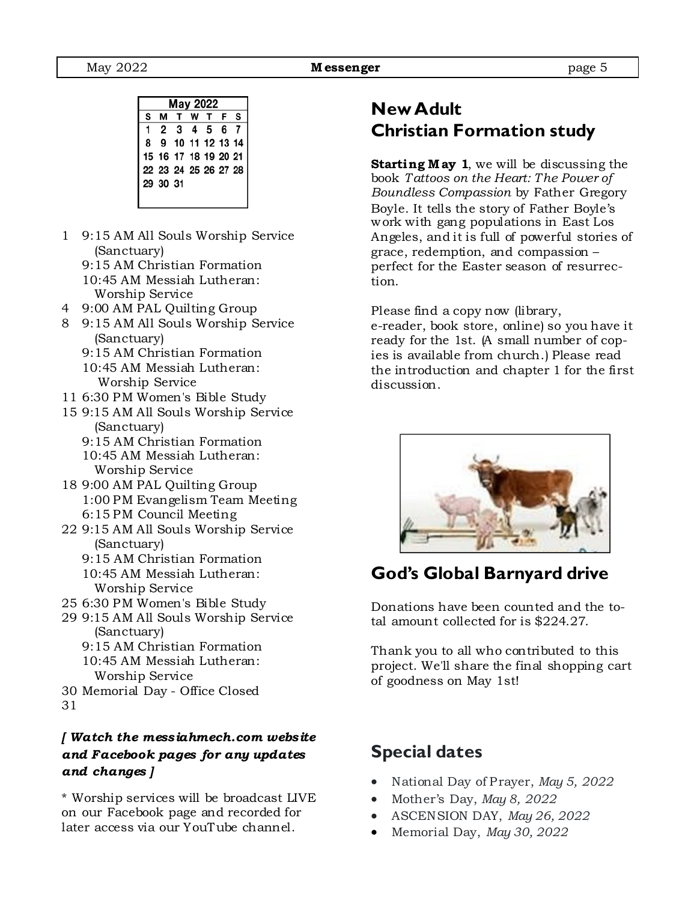| May 2022 |          |                      |         |  |  |   |  |
|----------|----------|----------------------|---------|--|--|---|--|
| S        |          |                      | T W T F |  |  | s |  |
|          |          | 2 3 4 5 6 7          |         |  |  |   |  |
| 8        |          | 9 10 11 12 13 14     |         |  |  |   |  |
|          |          | 15 16 17 18 19 20 21 |         |  |  |   |  |
|          |          | 22 23 24 25 26 27 28 |         |  |  |   |  |
|          | 29 30 31 |                      |         |  |  |   |  |
|          |          |                      |         |  |  |   |  |

- 1 9:15 AM All Souls Worship Service (Sanctuary)
	- 9:15 AM Christian Formation
	- 10:45 AM Messiah Lutheran: Worship Service
- 4 9:00 AM PAL Quilting Group
- 8 9:15 AM All Souls Worship Service (Sanctuary)
	- 9:15 AM Christian Formation 10:45 AM Messiah Lutheran: Worship Service
- 11 6:30 PM Women's Bible Study
- 15 9:15 AM All Souls Worship Service (Sanctuary)
	- 9:15 AM Christian Formation 10:45 AM Messiah Lutheran: Worship Service
- 18 9:00 AM PAL Quilting Group 1:00 PM Evangelism Team Meeting 6:15 PM Council Meeting
- 22 9:15 AM All Souls Worship Service (Sanctuary)
	- 9:15 AM Christian Formation
	- 10:45 AM Messiah Lutheran: Worship Service
- 25 6:30 PM Women's Bible Study
- 29 9:15 AM All Souls Worship Service (Sanctuary)
	- 9:15 AM Christian Formation 10:45 AM Messiah Lutheran: Worship Service
- 30 Memorial Day Office Closed
- 31

### *[ Watch the mess iahmech.com webs ite and Facebook pages for any updates and changes ]*

\* Worship services will be broadcast LIVE on our Facebook page and recorded for later access via our YouTube channel.

### **New Adult Christian Formation study**

**Starting May 1**, we will be discussing the book *Tattoos on the Heart: The Power of Boundless Compassion* by Father Gregory Boyle. It tells the story of Father Boyle's work with gang populations in East Los Angeles, and it is full of powerful stories of grace, redemption, and compassion – perfect for the Easter season of resurrection.

Please find a copy now (library, e-reader, book store, online) so you have it ready for the 1st. (A small number of copies is available from church.) Please read the introduction and chapter 1 for the first discussion.



### **God's Global Barnyard drive**

Donations have been counted and the total amount collected for is \$224.27.

Thank you to all who contributed to this project. We'll share the final shopping cart of goodness on May 1st!

### **Special dates**

- National Day of Prayer, *May 5, 2022*
- Mother's Day, *May 8, 2022*
- ASCENSION DAY, *May 26, 2022*
- Memorial Day, *May 30, 2022*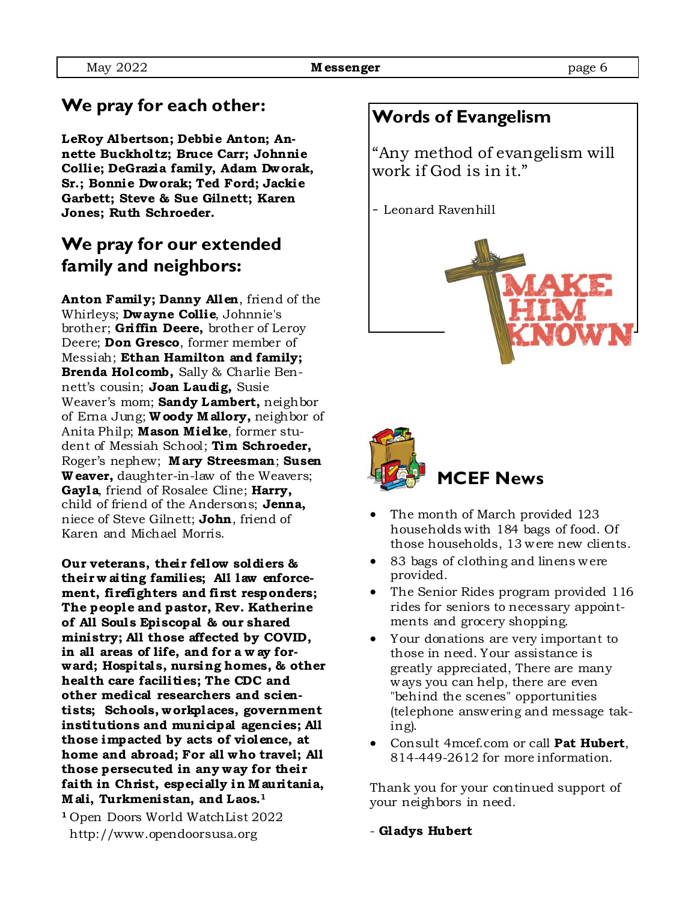### **We pray for each other:**

**LeRoy Albertson; Debbie Anton; Annette Buckholtz; Bruce Carr; Johnnie Collie; DeGrazia family, Adam Dworak, Sr.; Bonnie Dworak; Ted Ford; Jackie Garbett; Steve & Sue Gilnett; Karen Jones; Ruth Schroeder.** 

# **We pray for our extended family and neighbors:**

**Anton Family; Danny Allen**, friend of the Whirleys; **Dwayne Collie**, Johnnie's brother; **Griffin Deere,** brother of Leroy Deere; **Don Gresco**, former member of Messiah; **Ethan Hamilton and family; Brenda Holcomb,** Sally & Charlie Bennett's cousin; **Joan Laudig,** Susie Weaver's mom; **Sandy Lambert,** neighbor of Erna Jung; **W oody M allory,** neighbor of Anita Philp; **Mason Mielke**, former student of Messiah School; **Tim Schroeder,**  Roger's nephew; **M ary Streesman**; **Susen W eaver,** daughter-in-law of the Weavers; **Gayla**, friend of Rosalee Cline; **Harry,**  child of friend of the Andersons; **Jenna,**  niece of Steve Gilnett; **John**, friend of Karen and Michael Morris.

**Our veterans, their fellow soldiers & their w aiting families; All law enforcement, firefighters and first responders; The people and pastor, Rev. Katherine of All Soul s Episcopal & our shared ministry; All those affected by COVID, in all areas of life, and for a w ay forward; Hospital s, nursing homes, & other health care facilities; The CDC and other medical researchers and scientists; Schools, workplaces, government institutions and municipal agencies; All those impacted by acts of violence, at home and abroad; For all who travel; All those persecuted in any way for their faith in Christ, especially in M auritania, M ali, Turkmenistan, and Laos.1** 

**<sup>1</sup>**Open Doors World WatchList 2022 http://www.opendoorsusa.org

### **Words of Evangelism**

"Any method of evangelism will work if God is in it."

- Leonard Ravenhill





- The month of March provided 123 households with 184 bags of food. Of those households, 13 were new clients.
- 83 bags of clothing and linens were provided.
- The Senior Rides program provided 116 rides for seniors to necessary appointments and grocery shopping.
- Your donations are very important to those in need. Your assistance is greatly appreciated, There are many ways you can help, there are even "behind the scenes" opportunities (telephone answering and message taking).
- Consult 4mcef.com or call **Pat Hubert**, 814-449-2612 for more information.

Thank you for your continued support of your neighbors in need.

- **Gladys Hubert**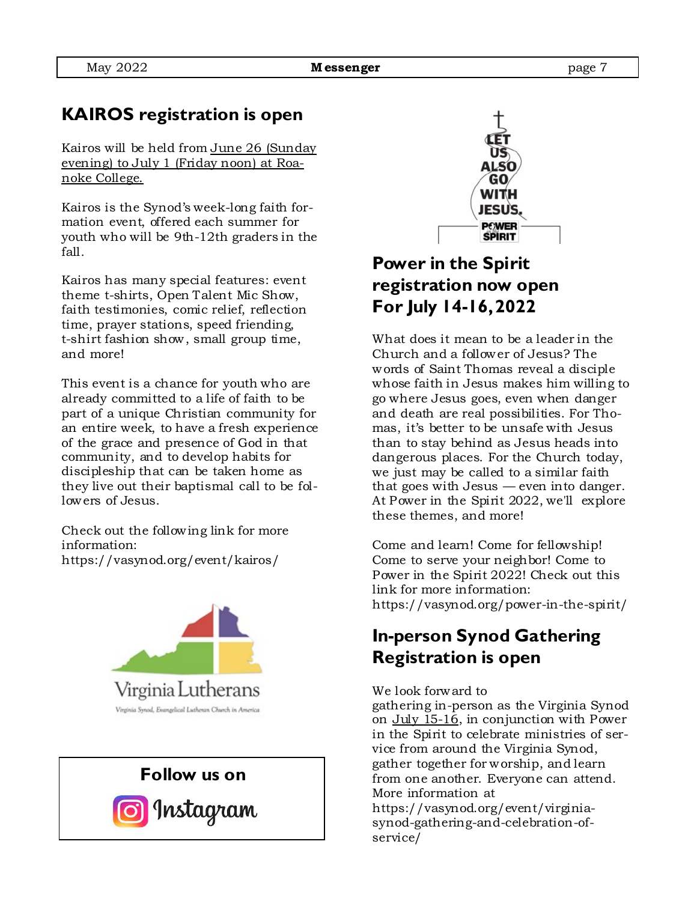## **KAIROS registration is open**

Kairos will be held from June 26 (Sunday evening) to July 1 (Friday noon) at Roanoke College.

Kairos is the Synod's week-long faith formation event, offered each summer for youth who will be 9th-12th graders in the fall.

Kairos has many special features: event theme t-shirts, Open Talent Mic Show, faith testimonies, comic relief, reflection time, prayer stations, speed friending, t-shirt fashion show, small group time, and more!

This event is a chance for youth who are already committed to a life of faith to be part of a unique Christian community for an entire week, to have a fresh experience of the grace and presence of God in that community, and to develop habits for discipleship that can be taken home as they live out their baptismal call to be followers of Jesus.

Check out the following link for more information: https://vasynod.org/event/kairos/







# **Power in the Spirit registration now open For July 14-16, 2022**

What does it mean to be a leader in the Church and a follower of Jesus? The words of Saint Thomas reveal a disciple whose faith in Jesus makes him willing to go where Jesus goes, even when danger and death are real possibilities. For Thomas, it's better to be unsafe with Jesus than to stay behind as Jesus heads into dangerous places. For the Church today, we just may be called to a similar faith that goes with Jesus — even into danger. At Power in the Spirit 2022, we'll explore these themes, and more!

Come and learn! Come for fellowship! Come to serve your neighbor! Come to Power in the Spirit 2022! Check out this link for more information: https://vasynod.org/power-in-the-spirit/

### **In-person Synod Gathering Registration is open**

#### We look forward to

gathering in-person as the Virginia Synod on July 15-16, in conjunction with Power in the Spirit to celebrate ministries of service from around the Virginia Synod, gather together for worship, and learn from one another. Everyone can attend. More information at https://vasynod.org/event/virginiasynod-gathering-and-celebration-ofservice/